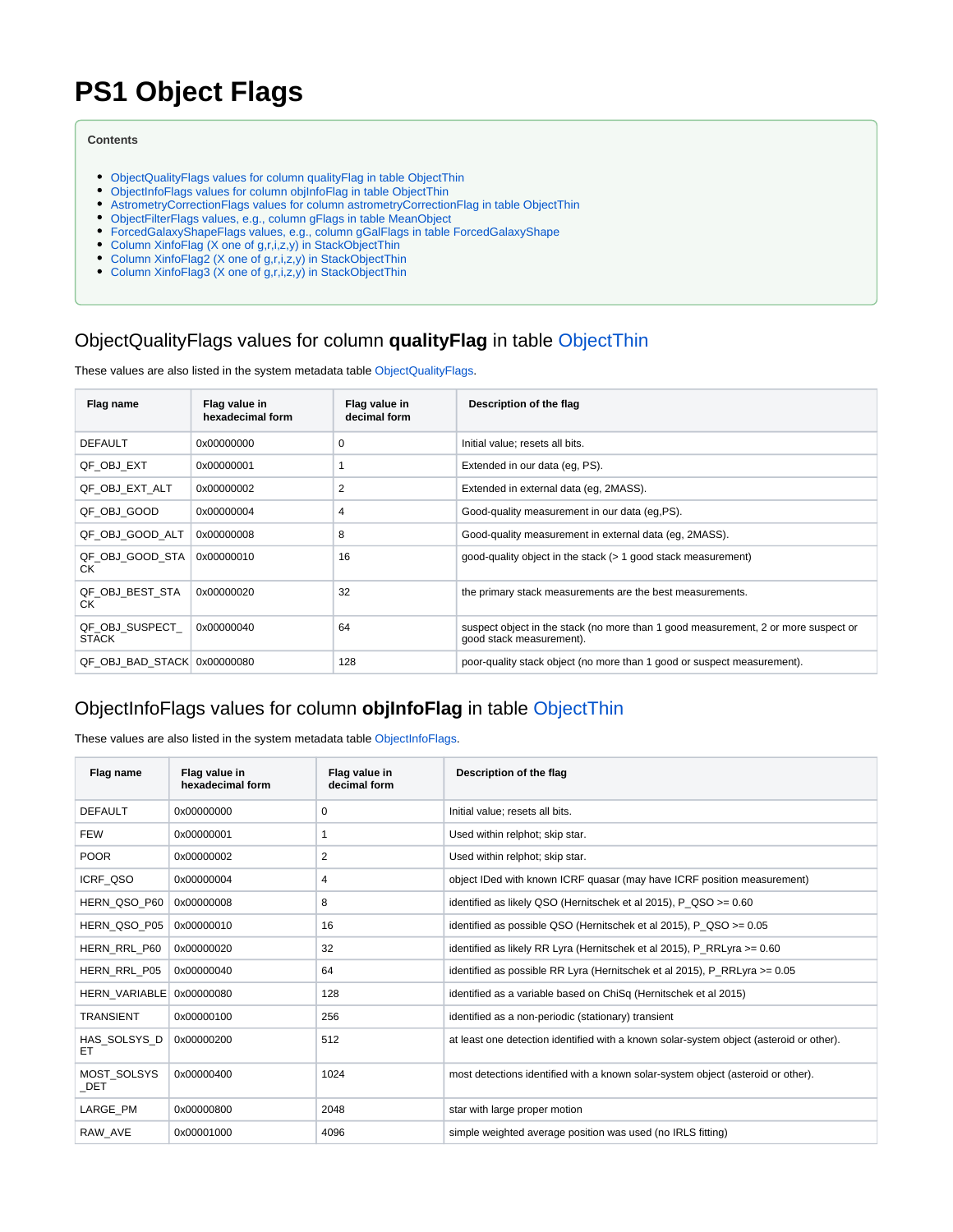# **PS1 Object Flags**

#### **Contents**

- [ObjectQualityFlags values for column qualityFlag in table ObjectThin](#page-0-0)
- [ObjectInfoFlags values for column objInfoFlag in table ObjectThin](#page-0-1)
- [AstrometryCorrectionFlags values for column astrometryCorrectionFlag in table ObjectThin](#page-1-0)
- [ObjectFilterFlags values, e.g., column gFlags in table MeanObject](#page-1-1)
- [ForcedGalaxyShapeFlags values, e.g., column gGalFlags in table ForcedGalaxyShape](#page-2-0)
- [Column XinfoFlag \(X one of g,r,i,z,y\) in StackObjectThin](#page-2-1)
- [Column XinfoFlag2 \(X one of g,r,i,z,y\) in StackObjectThin](#page-2-2)
- [Column XinfoFlag3 \(X one of g,r,i,z,y\) in StackObjectThin](#page-2-3)

#### <span id="page-0-0"></span>ObjectQualityFlags values for column **qualityFlag** in table [ObjectThin](https://outerspace.stsci.edu/display/PANSTARRS/PS1+ObjectThin+table+fields)

These values are also listed in the system metadata table [ObjectQualityFlags](https://outerspace.stsci.edu/display/PANSTARRS/ObjectQualityFlags).

| Flag name                      | Flag value in<br>hexadecimal form | Flag value in<br>decimal form | Description of the flag                                                                                        |
|--------------------------------|-----------------------------------|-------------------------------|----------------------------------------------------------------------------------------------------------------|
| <b>DEFAULT</b>                 | 0x00000000                        | 0                             | Initial value; resets all bits.                                                                                |
| QF OBJ EXT                     | 0x00000001                        |                               | Extended in our data (eq. PS).                                                                                 |
| QF OBJ EXT ALT                 | 0x00000002                        | 2                             | Extended in external data (eq. 2MASS).                                                                         |
| QF OBJ GOOD                    | 0x00000004                        | 4                             | Good-quality measurement in our data (eg, PS).                                                                 |
| QF_OBJ_GOOD_ALT                | 0x00000008                        | 8                             | Good-quality measurement in external data (eq. 2MASS).                                                         |
| QF OBJ GOOD STA<br>СK          | 0x00000010                        | 16                            | good-quality object in the stack (> 1 good stack measurement)                                                  |
| QF OBJ BEST STA<br>CK.         | 0x00000020                        | 32                            | the primary stack measurements are the best measurements.                                                      |
| QF OBJ SUSPECT<br><b>STACK</b> | 0x00000040                        | 64                            | suspect object in the stack (no more than 1 good measurement, 2 or more suspect or<br>good stack measurement). |
| QF OBJ BAD STACK 0x00000080    |                                   | 128                           | poor-quality stack object (no more than 1 good or suspect measurement).                                        |

#### <span id="page-0-1"></span>ObjectInfoFlags values for column **objInfoFlag** in table [ObjectThin](https://outerspace.stsci.edu/display/PANSTARRS/PS1+ObjectThin+table+fields)

These values are also listed in the system metadata table [ObjectInfoFlags.](https://outerspace.stsci.edu/display/PANSTARRS/ObjectInfoFlags)

| Flag name                 | Flag value in<br>hexadecimal form | Flag value in<br>decimal form | Description of the flag                                                                 |
|---------------------------|-----------------------------------|-------------------------------|-----------------------------------------------------------------------------------------|
| <b>DEFAULT</b>            | 0x00000000                        | 0                             | Initial value; resets all bits.                                                         |
| <b>FEW</b>                | 0x00000001                        | 1                             | Used within relphot; skip star.                                                         |
| <b>POOR</b>               | 0x00000002                        | 2                             | Used within relphot; skip star.                                                         |
| <b>ICRF QSO</b>           | 0x00000004                        | 4                             | object IDed with known ICRF quasar (may have ICRF position measurement)                 |
| HERN_QSO_P60              | 0x00000008                        | 8                             | identified as likely QSO (Hernitschek et al 2015), P QSO >= 0.60                        |
| HERN_QSO_P05              | 0x00000010                        | 16                            | identified as possible QSO (Hernitschek et al 2015), P QSO >= 0.05                      |
| HERN RRL P60              | 0x00000020                        | 32                            | identified as likely RR Lyra (Hernitschek et al 2015), P RRLyra >= 0.60                 |
| HERN RRL P05              | 0x00000040                        | 64                            | identified as possible RR Lyra (Hernitschek et al 2015), P RRLyra >= 0.05               |
| <b>HERN VARIABLE</b>      | 0x00000080                        | 128                           | identified as a variable based on ChiSq (Hernitschek et al 2015)                        |
| <b>TRANSIENT</b>          | 0x00000100                        | 256                           | identified as a non-periodic (stationary) transient                                     |
| HAS SOLSYS D<br>EТ        | 0x00000200                        | 512                           | at least one detection identified with a known solar-system object (asteroid or other). |
| <b>MOST SOLSYS</b><br>DET | 0x00000400                        | 1024                          | most detections identified with a known solar-system object (asteroid or other).        |
| LARGE PM                  | 0x00000800                        | 2048                          | star with large proper motion                                                           |
| RAW AVE                   | 0x00001000                        | 4096                          | simple weighted average position was used (no IRLS fitting)                             |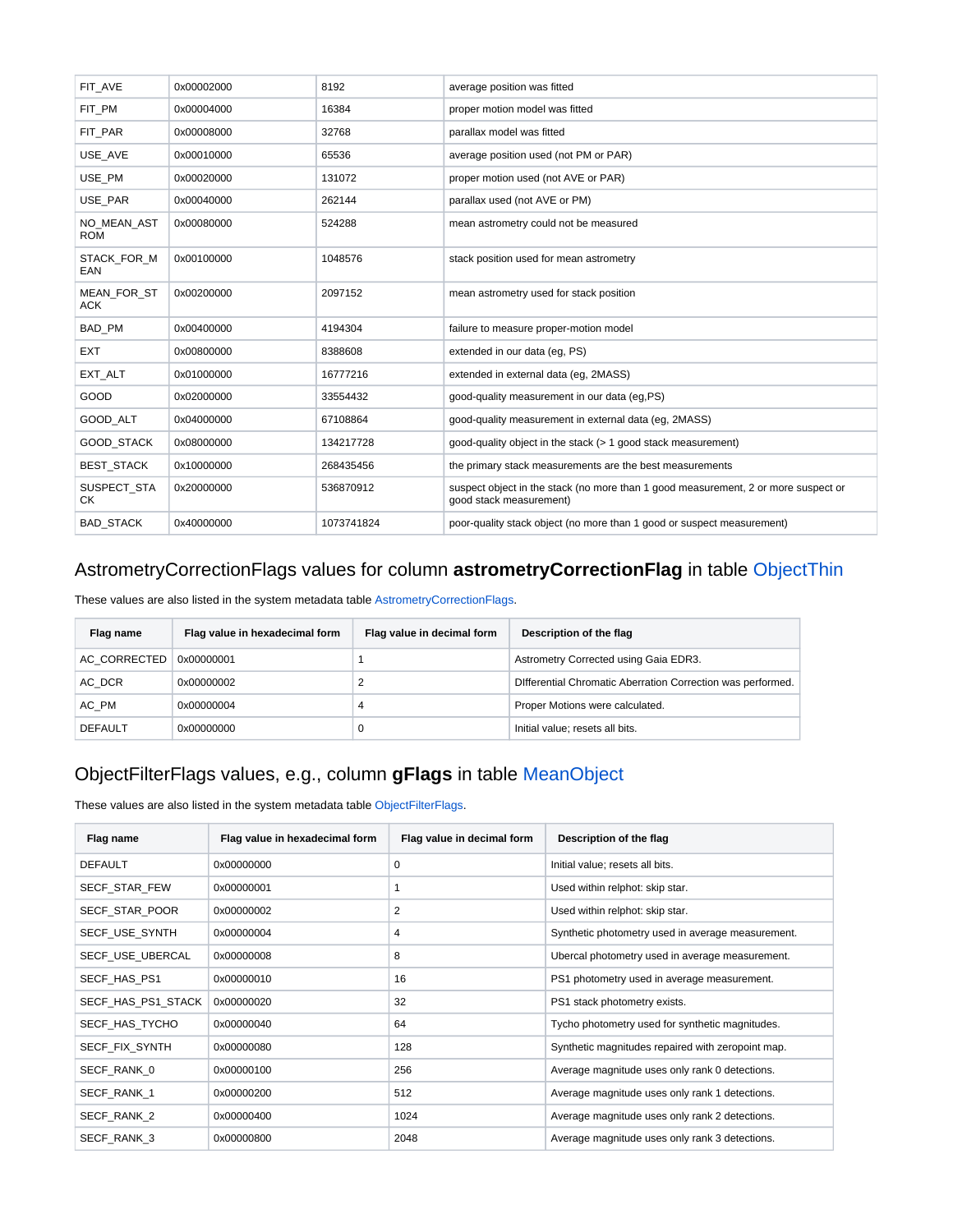| FIT AVE                          | 0x00002000 | 8192       | average position was fitted                                                                                   |
|----------------------------------|------------|------------|---------------------------------------------------------------------------------------------------------------|
| FIT PM                           | 0x00004000 | 16384      | proper motion model was fitted                                                                                |
| FIT PAR                          | 0x00008000 | 32768      | parallax model was fitted                                                                                     |
| USE AVE                          | 0x00010000 | 65536      | average position used (not PM or PAR)                                                                         |
| USE_PM                           | 0x00020000 | 131072     | proper motion used (not AVE or PAR)                                                                           |
| USE PAR                          | 0x00040000 | 262144     | parallax used (not AVE or PM)                                                                                 |
| NO MEAN AST<br><b>ROM</b>        | 0x00080000 | 524288     | mean astrometry could not be measured                                                                         |
| STACK FOR M<br>EAN               | 0x00100000 | 1048576    | stack position used for mean astrometry                                                                       |
| <b>MEAN FOR ST</b><br><b>ACK</b> | 0x00200000 | 2097152    | mean astrometry used for stack position                                                                       |
| BAD_PM                           | 0x00400000 | 4194304    | failure to measure proper-motion model                                                                        |
| <b>EXT</b>                       | 0x00800000 | 8388608    | extended in our data (eq. PS)                                                                                 |
| EXT_ALT                          | 0x01000000 | 16777216   | extended in external data (eg, 2MASS)                                                                         |
| GOOD                             | 0x02000000 | 33554432   | good-quality measurement in our data (eq, PS)                                                                 |
| GOOD ALT                         | 0x04000000 | 67108864   | good-quality measurement in external data (eq. 2MASS)                                                         |
| <b>GOOD STACK</b>                | 0x08000000 | 134217728  | good-quality object in the stack (> 1 good stack measurement)                                                 |
| <b>BEST STACK</b>                | 0x10000000 | 268435456  | the primary stack measurements are the best measurements                                                      |
| SUSPECT_STA<br>СK                | 0x20000000 | 536870912  | suspect object in the stack (no more than 1 good measurement, 2 or more suspect or<br>good stack measurement) |
| <b>BAD STACK</b>                 | 0x40000000 | 1073741824 | poor-quality stack object (no more than 1 good or suspect measurement)                                        |

## <span id="page-1-0"></span>AstrometryCorrectionFlags values for column **astrometryCorrectionFlag** in table [ObjectThin](https://outerspace.stsci.edu/display/PANSTARRS/PS1+ObjectThin+table+fields)

These values are also listed in the system metadata table [AstrometryCorrectionFlags](https://outerspace.stsci.edu/display/PANSTARRS/AstrometryCorrectionFlags).

| Flag name      | Flag value in hexadecimal form | Flag value in decimal form | Description of the flag                                     |
|----------------|--------------------------------|----------------------------|-------------------------------------------------------------|
| AC CORRECTED   | 0x00000001                     |                            | Astrometry Corrected using Gaia EDR3.                       |
| AC DCR         | 0x00000002                     |                            | Differential Chromatic Aberration Correction was performed. |
| AC PM          | 0x00000004                     | 4                          | Proper Motions were calculated.                             |
| <b>DEFAULT</b> | 0x00000000                     |                            | Initial value; resets all bits.                             |

## <span id="page-1-1"></span>ObjectFilterFlags values, e.g., column **gFlags** in table [MeanObject](https://outerspace.stsci.edu/display/PANSTARRS/PS1+MeanObject+table+fields)

These values are also listed in the system metadata table [ObjectFilterFlags.](https://outerspace.stsci.edu/display/PANSTARRS/ObjectFilterFlags)

| Flag name            | Flag value in hexadecimal form | Flag value in decimal form | Description of the flag                           |
|----------------------|--------------------------------|----------------------------|---------------------------------------------------|
| <b>DEFAULT</b>       | 0x00000000                     | 0                          | Initial value; resets all bits.                   |
| <b>SECF STAR FEW</b> | 0x00000001                     |                            | Used within relphot: skip star.                   |
| SECF STAR POOR       | 0x00000002                     | 2                          | Used within relphot: skip star.                   |
| SECF_USE_SYNTH       | 0x00000004                     | 4                          | Synthetic photometry used in average measurement. |
| SECF USE UBERCAL     | 0x00000008                     | 8                          | Ubercal photometry used in average measurement.   |
| SECF HAS PS1         | 0x00000010                     | 16                         | PS1 photometry used in average measurement.       |
| SECF HAS PS1 STACK   | 0x00000020                     | 32                         | PS1 stack photometry exists.                      |
| SECF_HAS_TYCHO       | 0x00000040                     | 64                         | Tycho photometry used for synthetic magnitudes.   |
| SECF FIX SYNTH       | 0x00000080                     | 128                        | Synthetic magnitudes repaired with zeropoint map. |
| SECF RANK 0          | 0x00000100                     | 256                        | Average magnitude uses only rank 0 detections.    |
| SECF RANK 1          | 0x00000200                     | 512                        | Average magnitude uses only rank 1 detections.    |
| SECF_RANK_2          | 0x00000400                     | 1024                       | Average magnitude uses only rank 2 detections.    |
| SECF RANK 3          | 0x00000800                     | 2048                       | Average magnitude uses only rank 3 detections.    |